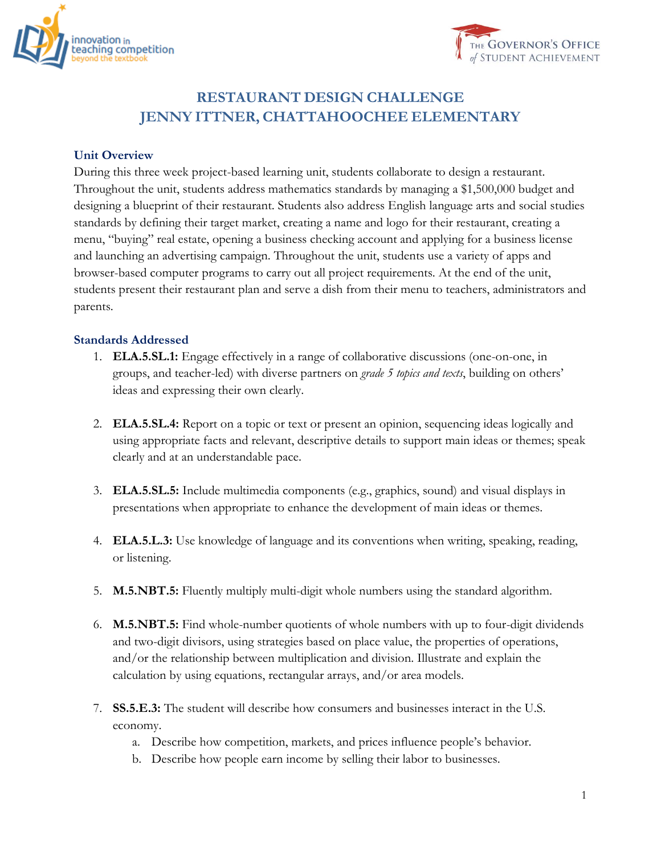



# **RESTAURANT DESIGN CHALLENGE JENNY ITTNER, CHATTAHOOCHEE ELEMENTARY**

#### **Unit Overview**

During this three week project-based learning unit, students collaborate to design a restaurant. Throughout the unit, students address mathematics standards by managing a \$1,500,000 budget and designing a blueprint of their restaurant. Students also address English language arts and social studies standards by defining their target market, creating a name and logo for their restaurant, creating a menu, "buying" real estate, opening a business checking account and applying for a business license and launching an advertising campaign. Throughout the unit, students use a variety of apps and browser-based computer programs to carry out all project requirements. At the end of the unit, students present their restaurant plan and serve a dish from their menu to teachers, administrators and parents.

#### **Standards Addressed**

- 1. **ELA.5.SL.1:** Engage effectively in a range of collaborative discussions (one-on-one, in groups, and teacher-led) with diverse partners on *grade 5 topics and texts*, building on others' ideas and expressing their own clearly.
- 2. **ELA.5.SL.4:** Report on a topic or text or present an opinion, sequencing ideas logically and using appropriate facts and relevant, descriptive details to support main ideas or themes; speak clearly and at an understandable pace.
- 3. **ELA.5.SL.5:** Include multimedia components (e.g., graphics, sound) and visual displays in presentations when appropriate to enhance the development of main ideas or themes.
- 4. **ELA.5.L.3:** Use knowledge of language and its conventions when writing, speaking, reading, or listening.
- 5. **M.5.NBT.5:** Fluently multiply multi-digit whole numbers using the standard algorithm.
- 6. **M.5.NBT.5:** Find whole-number quotients of whole numbers with up to four-digit dividends and two-digit divisors, using strategies based on place value, the properties of operations, and/or the relationship between multiplication and division. Illustrate and explain the calculation by using equations, rectangular arrays, and/or area models.
- 7. **SS.5.E.3:** The student will describe how consumers and businesses interact in the U.S. economy.
	- a. Describe how competition, markets, and prices influence people's behavior.
	- b. Describe how people earn income by selling their labor to businesses.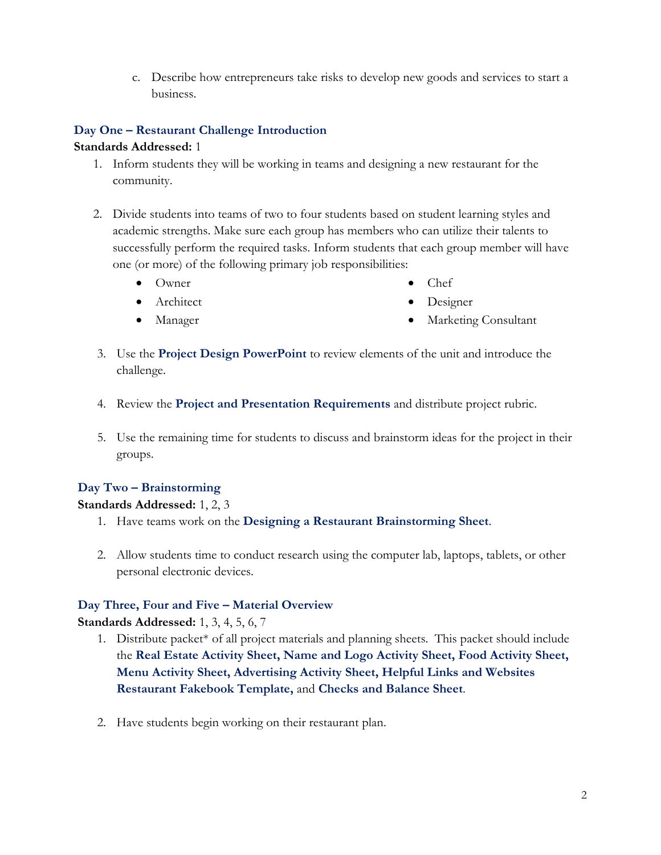c. Describe how entrepreneurs take risks to develop new goods and services to start a business.

# **Day One – Restaurant Challenge Introduction**

## **Standards Addressed:** 1

- 1. Inform students they will be working in teams and designing a new restaurant for the community.
- 2. Divide students into teams of two to four students based on student learning styles and academic strengths. Make sure each group has members who can utilize their talents to successfully perform the required tasks. Inform students that each group member will have one (or more) of the following primary job responsibilities:
	- Owner

Chef

• Architect

• Designer

Manager

- Marketing Consultant
- 3. Use the **Project Design PowerPoint** to review elements of the unit and introduce the challenge.
- 4. Review the **Project and Presentation Requirements** and distribute project rubric.
- 5. Use the remaining time for students to discuss and brainstorm ideas for the project in their groups.

# **Day Two – Brainstorming**

# **Standards Addressed:** 1, 2, 3

- 1. Have teams work on the **Designing a Restaurant Brainstorming Sheet**.
- 2. Allow students time to conduct research using the computer lab, laptops, tablets, or other personal electronic devices.

# **Day Three, Four and Five – Material Overview**

**Standards Addressed:** 1, 3, 4, 5, 6, 7

- 1. Distribute packet\* of all project materials and planning sheets. This packet should include the **Real Estate Activity Sheet, Name and Logo Activity Sheet, Food Activity Sheet, Menu Activity Sheet, Advertising Activity Sheet, Helpful Links and Websites Restaurant Fakebook Template,** and **Checks and Balance Sheet**.
- 2. Have students begin working on their restaurant plan.